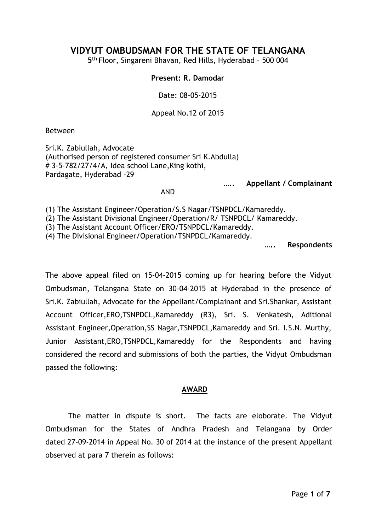# **VIDYUT OMBUDSMAN FOR THE STATE OF TELANGANA**

**5 th** Floor, Singareni Bhavan, Red Hills, Hyderabad – 500 004

#### **Present: R. Damodar**

Date: 08-05-2015

Appeal No.12 of 2015

Between

Sri.K. Zabiullah, Advocate (Authorised person of registered consumer Sri K.Abdulla) # 3-5-782/27/4/A, Idea school Lane,King kothi, Pardagate, Hyderabad -29

**….. Appellant / Complainant**

AND

(1) The Assistant Engineer/Operation/S.S Nagar/TSNPDCL/Kamareddy.

(2) The Assistant Divisional Engineer/Operation/R/ TSNPDCL/ Kamareddy.

(3) The Assistant Account Officer/ERO/TSNPDCL/Kamareddy.

(4) The Divisional Engineer/Operation/TSNPDCL/Kamareddy.

**….. Respondents**

The above appeal filed on 15-04-2015 coming up for hearing before the Vidyut Ombudsman, Telangana State on 30-04-2015 at Hyderabad in the presence of Sri.K. Zabiullah, Advocate for the Appellant/Complainant and Sri.Shankar, Assistant Account Officer,ERO,TSNPDCL,Kamareddy (R3), Sri. S. Venkatesh, Aditional Assistant Engineer,Operation,SS Nagar,TSNPDCL,Kamareddy and Sri. I.S.N. Murthy, Junior Assistant,ERO,TSNPDCL,Kamareddy for the Respondents and having considered the record and submissions of both the parties, the Vidyut Ombudsman passed the following:

## **AWARD**

The matter in dispute is short. The facts are eloborate. The Vidyut Ombudsman for the States of Andhra Pradesh and Telangana by Order dated 27-09-2014 in Appeal No. 30 of 2014 at the instance of the present Appellant observed at para 7 therein as follows: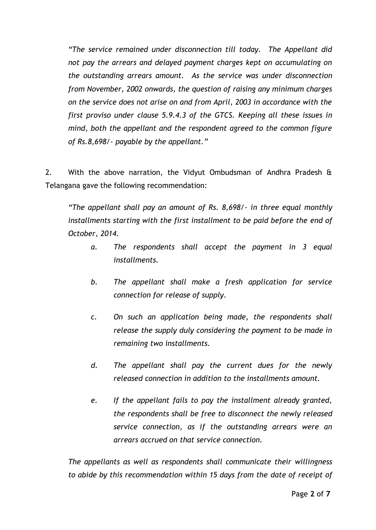*"The service remained under disconnection till today. The Appellant did not pay the arrears and delayed payment charges kept on accumulating on the outstanding arrears amount. As the service was under disconnection from November, 2002 onwards, the question of raising any minimum charges on the service does not arise on and from April, 2003 in accordance with the first proviso under clause 5.9.4.3 of the GTCS. Keeping all these issues in mind, both the appellant and the respondent agreed to the common figure of Rs.8,698/- payable by the appellant."*

2. With the above narration, the Vidyut Ombudsman of Andhra Pradesh & Telangana gave the following recommendation:

*"The appellant shall pay an amount of Rs. 8,698/- in three equal monthly installments starting with the first installment to be paid before the end of October, 2014.*

- *a. The respondents shall accept the payment in 3 equal installments.*
- *b. The appellant shall make a fresh application for service connection for release of supply.*
- *c. On such an application being made, the respondents shall release the supply duly considering the payment to be made in remaining two installments.*
- *d. The appellant shall pay the current dues for the newly released connection in addition to the installments amount.*
- *e. If the appellant fails to pay the installment already granted, the respondents shall be free to disconnect the newly released service connection, as if the outstanding arrears were an arrears accrued on that service connection.*

*The appellants as well as respondents shall communicate their willingness to abide by this recommendation within 15 days from the date of receipt of*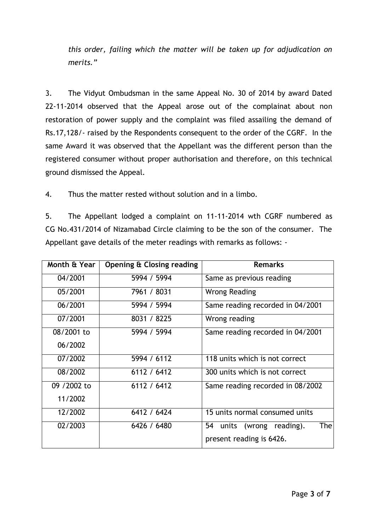*this order, failing which the matter will be taken up for adjudication on merits."*

3. The Vidyut Ombudsman in the same Appeal No. 30 of 2014 by award Dated 22-11-2014 observed that the Appeal arose out of the complainat about non restoration of power supply and the complaint was filed assailing the demand of Rs.17,128/- raised by the Respondents consequent to the order of the CGRF. In the same Award it was observed that the Appellant was the different person than the registered consumer without proper authorisation and therefore, on this technical ground dismissed the Appeal.

4. Thus the matter rested without solution and in a limbo.

5. The Appellant lodged a complaint on 11-11-2014 wth CGRF numbered as CG No.431/2014 of Nizamabad Circle claiming to be the son of the consumer. The Appellant gave details of the meter readings with remarks as follows: -

| Month & Year | Opening & Closing reading | <b>Remarks</b>                                   |
|--------------|---------------------------|--------------------------------------------------|
| 04/2001      | 5994 / 5994               | Same as previous reading                         |
| 05/2001      | 7961 / 8031               | <b>Wrong Reading</b>                             |
| 06/2001      | 5994 / 5994               | Same reading recorded in 04/2001                 |
| 07/2001      | 8031 / 8225               | Wrong reading                                    |
| 08/2001 to   | 5994 / 5994               | Same reading recorded in 04/2001                 |
| 06/2002      |                           |                                                  |
| 07/2002      | 5994 / 6112               | 118 units which is not correct                   |
| 08/2002      | 6112 / 6412               | 300 units which is not correct                   |
| 09 / 2002 to | 6112 / 6412               | Same reading recorded in 08/2002                 |
| 11/2002      |                           |                                                  |
| 12/2002      | 6412 / 6424               | 15 units normal consumed units                   |
| 02/2003      | 6426 / 6480               | <b>The</b><br>54<br>units<br>reading).<br>(wrong |
|              |                           | present reading is 6426.                         |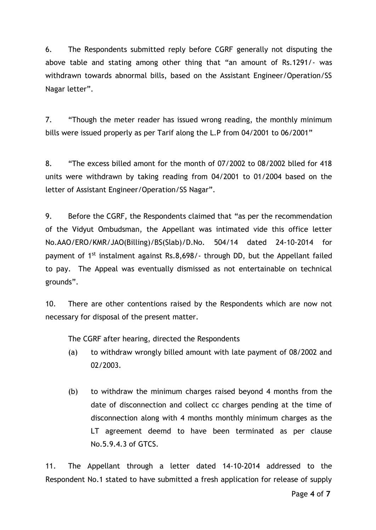6. The Respondents submitted reply before CGRF generally not disputing the above table and stating among other thing that "an amount of Rs.1291/- was withdrawn towards abnormal bills, based on the Assistant Engineer/Operation/SS Nagar letter".

7. "Though the meter reader has issued wrong reading, the monthly minimum bills were issued properly as per Tarif along the L.P from 04/2001 to 06/2001"

8. "The excess billed amont for the month of 07/2002 to 08/2002 blled for 418 units were withdrawn by taking reading from 04/2001 to 01/2004 based on the letter of Assistant Engineer/Operation/SS Nagar".

9. Before the CGRF, the Respondents claimed that "as per the recommendation of the Vidyut Ombudsman, the Appellant was intimated vide this office letter No.AAO/ERO/KMR/JAO(Billing)/BS(Slab)/D.No. 504/14 dated 24-10-2014 for payment of 1st instalment against Rs.8,698/- through DD, but the Appellant failed to pay. The Appeal was eventually dismissed as not entertainable on technical grounds".

10. There are other contentions raised by the Respondents which are now not necessary for disposal of the present matter.

The CGRF after hearing, directed the Respondents

- (a) to withdraw wrongly billed amount with late payment of 08/2002 and 02/2003.
- (b) to withdraw the minimum charges raised beyond 4 months from the date of disconnection and collect cc charges pending at the time of disconnection along with 4 months monthly minimum charges as the LT agreement deemd to have been terminated as per clause No.5.9.4.3 of GTCS.

11. The Appellant through a letter dated 14-10-2014 addressed to the Respondent No.1 stated to have submitted a fresh application for release of supply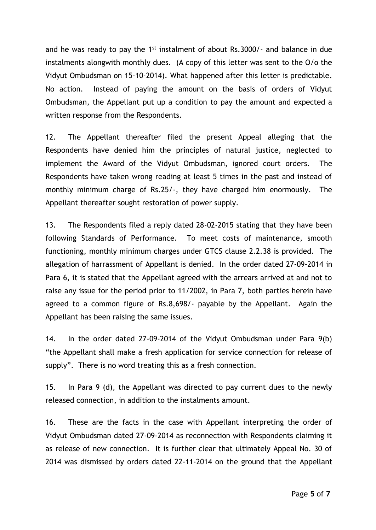and he was ready to pay the  $1<sup>st</sup>$  instalment of about Rs.3000/- and balance in due instalments alongwith monthly dues. (A copy of this letter was sent to the O/o the Vidyut Ombudsman on 15-10-2014). What happened after this letter is predictable. No action. Instead of paying the amount on the basis of orders of Vidyut Ombudsman, the Appellant put up a condition to pay the amount and expected a written response from the Respondents.

12. The Appellant thereafter filed the present Appeal alleging that the Respondents have denied him the principles of natural justice, neglected to implement the Award of the Vidyut Ombudsman, ignored court orders. The Respondents have taken wrong reading at least 5 times in the past and instead of monthly minimum charge of Rs.25/-, they have charged him enormously. The Appellant thereafter sought restoration of power supply.

13. The Respondents filed a reply dated 28-02-2015 stating that they have been following Standards of Performance. To meet costs of maintenance, smooth functioning, monthly minimum charges under GTCS clause 2.2.38 is provided. The allegation of harrassment of Appellant is denied. In the order dated 27-09-2014 in Para 6, it is stated that the Appellant agreed with the arrears arrived at and not to raise any issue for the period prior to 11/2002, in Para 7, both parties herein have agreed to a common figure of Rs.8,698/- payable by the Appellant. Again the Appellant has been raising the same issues.

14. In the order dated 27-09-2014 of the Vidyut Ombudsman under Para 9(b) "the Appellant shall make a fresh application for service connection for release of supply". There is no word treating this as a fresh connection.

15. In Para 9 (d), the Appellant was directed to pay current dues to the newly released connection, in addition to the instalments amount.

16. These are the facts in the case with Appellant interpreting the order of Vidyut Ombudsman dated 27-09-2014 as reconnection with Respondents claiming it as release of new connection. It is further clear that ultimately Appeal No. 30 of 2014 was dismissed by orders dated 22-11-2014 on the ground that the Appellant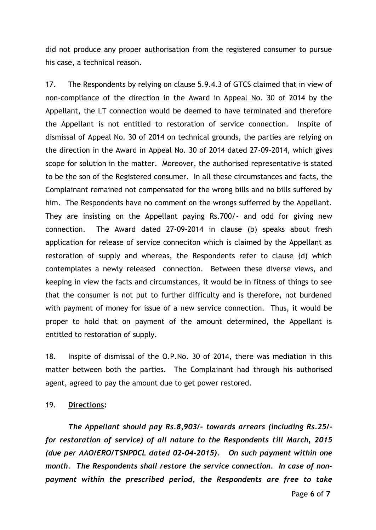did not produce any proper authorisation from the registered consumer to pursue his case, a technical reason.

17. The Respondents by relying on clause 5.9.4.3 of GTCS claimed that in view of non-compliance of the direction in the Award in Appeal No. 30 of 2014 by the Appellant, the LT connection would be deemed to have terminated and therefore the Appellant is not entitled to restoration of service connection. Inspite of dismissal of Appeal No. 30 of 2014 on technical grounds, the parties are relying on the direction in the Award in Appeal No. 30 of 2014 dated 27-09-2014, which gives scope for solution in the matter. Moreover, the authorised representative is stated to be the son of the Registered consumer. In all these circumstances and facts, the Complainant remained not compensated for the wrong bills and no bills suffered by him. The Respondents have no comment on the wrongs sufferred by the Appellant. They are insisting on the Appellant paying Rs.700/- and odd for giving new connection. The Award dated 27-09-2014 in clause (b) speaks about fresh application for release of service conneciton which is claimed by the Appellant as restoration of supply and whereas, the Respondents refer to clause (d) which contemplates a newly released connection. Between these diverse views, and keeping in view the facts and circumstances, it would be in fitness of things to see that the consumer is not put to further difficulty and is therefore, not burdened with payment of money for issue of a new service connection. Thus, it would be proper to hold that on payment of the amount determined, the Appellant is entitled to restoration of supply.

18. Inspite of dismissal of the O.P.No. 30 of 2014, there was mediation in this matter between both the parties. The Complainant had through his authorised agent, agreed to pay the amount due to get power restored.

### 19. **Directions:**

*The Appellant should pay Rs.8,903/- towards arrears (including Rs.25/ for restoration of service) of all nature to the Respondents till March, 2015 (due per AAO/ERO/TSNPDCL dated 02-04-2015). On such payment within one month. The Respondents shall restore the service connection. In case of nonpayment within the prescribed period, the Respondents are free to take*